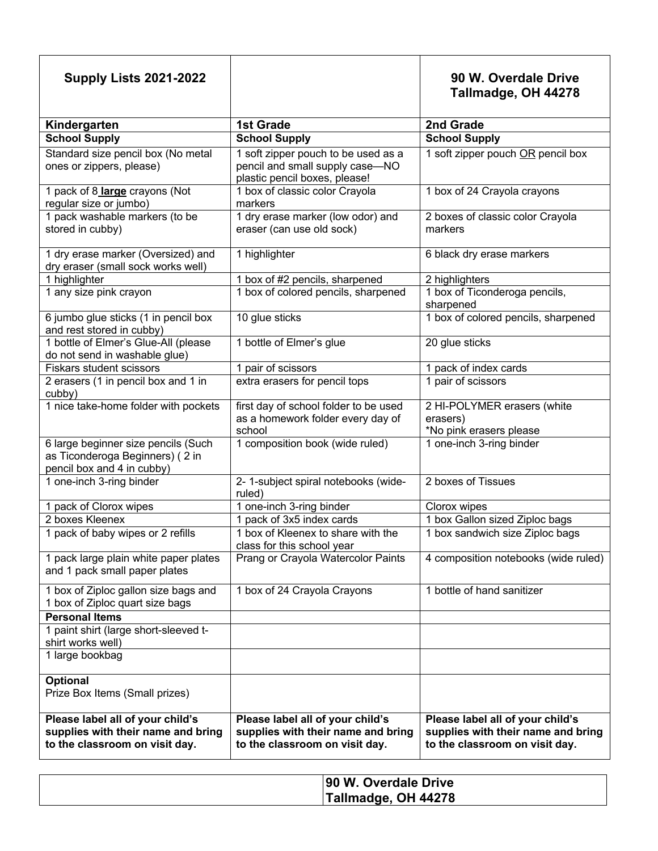| <b>Supply Lists 2021-2022</b>                                                                            |                                                                                                          | 90 W. Overdale Drive<br>Tallmadge, OH 44278                                                              |
|----------------------------------------------------------------------------------------------------------|----------------------------------------------------------------------------------------------------------|----------------------------------------------------------------------------------------------------------|
| Kindergarten                                                                                             | <b>1st Grade</b>                                                                                         | 2nd Grade                                                                                                |
| <b>School Supply</b>                                                                                     | <b>School Supply</b>                                                                                     | <b>School Supply</b>                                                                                     |
| Standard size pencil box (No metal<br>ones or zippers, please)                                           | 1 soft zipper pouch to be used as a<br>pencil and small supply case-NO<br>plastic pencil boxes, please!  | 1 soft zipper pouch OR pencil box                                                                        |
| 1 pack of 8 large crayons (Not<br>regular size or jumbo)                                                 | 1 box of classic color Crayola<br>markers                                                                | 1 box of 24 Crayola crayons                                                                              |
| 1 pack washable markers (to be<br>stored in cubby)                                                       | 1 dry erase marker (low odor) and<br>eraser (can use old sock)                                           | 2 boxes of classic color Crayola<br>markers                                                              |
| 1 dry erase marker (Oversized) and<br>dry eraser (small sock works well)                                 | 1 highlighter                                                                                            | 6 black dry erase markers                                                                                |
| 1 highlighter                                                                                            | 1 box of #2 pencils, sharpened                                                                           | 2 highlighters                                                                                           |
| 1 any size pink crayon                                                                                   | 1 box of colored pencils, sharpened                                                                      | 1 box of Ticonderoga pencils,<br>sharpened                                                               |
| 6 jumbo glue sticks (1 in pencil box<br>and rest stored in cubby)                                        | 10 glue sticks                                                                                           | 1 box of colored pencils, sharpened                                                                      |
| 1 bottle of Elmer's Glue-All (please<br>do not send in washable glue)                                    | 1 bottle of Elmer's glue                                                                                 | 20 glue sticks                                                                                           |
| <b>Fiskars student scissors</b>                                                                          | 1 pair of scissors                                                                                       | 1 pack of index cards                                                                                    |
| 2 erasers (1 in pencil box and 1 in<br>cubby)                                                            | extra erasers for pencil tops                                                                            | 1 pair of scissors                                                                                       |
| 1 nice take-home folder with pockets                                                                     | first day of school folder to be used<br>as a homework folder every day of<br>school                     | 2 HI-POLYMER erasers (white<br>erasers)<br>*No pink erasers please                                       |
| 6 large beginner size pencils (Such<br>as Ticonderoga Beginners) (2 in<br>pencil box and 4 in cubby)     | 1 composition book (wide ruled)                                                                          | 1 one-inch 3-ring binder                                                                                 |
| 1 one-inch 3-ring binder                                                                                 | 2- 1-subject spiral notebooks (wide-<br>ruled)                                                           | 2 boxes of Tissues                                                                                       |
| 1 pack of Clorox wipes                                                                                   | 1 one-inch 3-ring binder                                                                                 | Clorox wipes                                                                                             |
| 2 boxes Kleenex                                                                                          | 1 pack of 3x5 index cards                                                                                | 1 box Gallon sized Ziploc bags                                                                           |
| 1 pack of baby wipes or 2 refills                                                                        | 1 box of Kleenex to share with the<br>class for this school year                                         | 1 box sandwich size Ziploc bags                                                                          |
| 1 pack large plain white paper plates<br>and 1 pack small paper plates                                   | Prang or Crayola Watercolor Paints                                                                       | 4 composition notebooks (wide ruled)                                                                     |
| 1 box of Ziploc gallon size bags and<br>1 box of Ziploc quart size bags                                  | 1 box of 24 Crayola Crayons                                                                              | 1 bottle of hand sanitizer                                                                               |
| <b>Personal Items</b>                                                                                    |                                                                                                          |                                                                                                          |
| 1 paint shirt (large short-sleeved t-<br>shirt works well)                                               |                                                                                                          |                                                                                                          |
| 1 large bookbag                                                                                          |                                                                                                          |                                                                                                          |
| <b>Optional</b><br>Prize Box Items (Small prizes)                                                        |                                                                                                          |                                                                                                          |
| Please label all of your child's<br>supplies with their name and bring<br>to the classroom on visit day. | Please label all of your child's<br>supplies with their name and bring<br>to the classroom on visit day. | Please label all of your child's<br>supplies with their name and bring<br>to the classroom on visit day. |

| 90 W. Overdale Drive       |
|----------------------------|
| <b>Tallmadge, OH 44278</b> |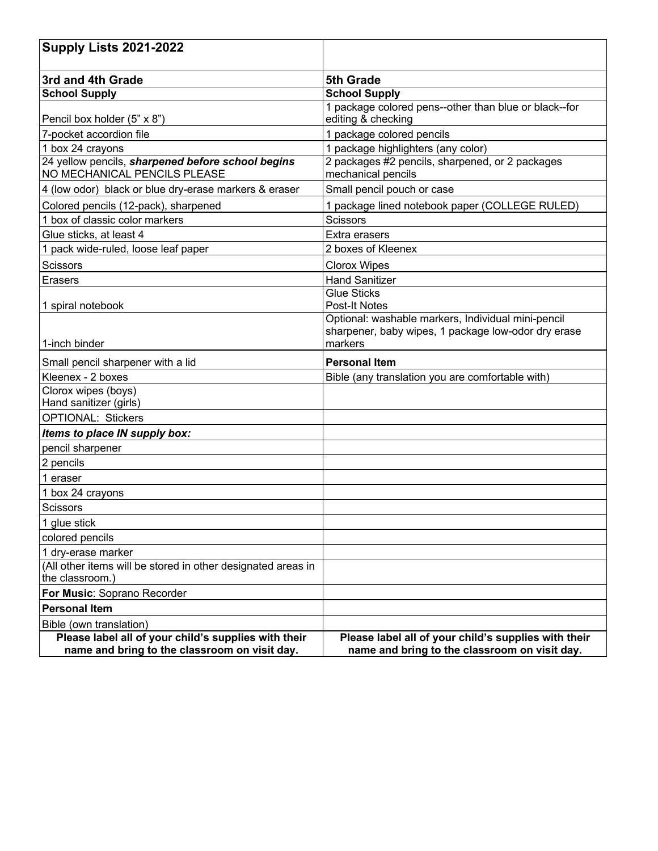| <b>Supply Lists 2021-2022</b>                                                                         |                                                                                                       |
|-------------------------------------------------------------------------------------------------------|-------------------------------------------------------------------------------------------------------|
| 3rd and 4th Grade                                                                                     | 5th Grade                                                                                             |
| <b>School Supply</b>                                                                                  | <b>School Supply</b>                                                                                  |
|                                                                                                       | 1 package colored pens--other than blue or black--for                                                 |
| Pencil box holder (5" x 8")                                                                           | editing & checking                                                                                    |
| 7-pocket accordion file                                                                               | 1 package colored pencils                                                                             |
| 1 box 24 crayons                                                                                      | 1 package highlighters (any color)                                                                    |
| 24 yellow pencils, sharpened before school begins<br>NO MECHANICAL PENCILS PLEASE                     | 2 packages #2 pencils, sharpened, or 2 packages<br>mechanical pencils                                 |
| 4 (low odor) black or blue dry-erase markers & eraser                                                 | Small pencil pouch or case                                                                            |
| Colored pencils (12-pack), sharpened                                                                  | 1 package lined notebook paper (COLLEGE RULED)                                                        |
| 1 box of classic color markers                                                                        | <b>Scissors</b>                                                                                       |
| Glue sticks, at least 4                                                                               | Extra erasers                                                                                         |
| 1 pack wide-ruled, loose leaf paper                                                                   | 2 boxes of Kleenex                                                                                    |
| <b>Scissors</b>                                                                                       | <b>Clorox Wipes</b>                                                                                   |
| <b>Erasers</b>                                                                                        | <b>Hand Sanitizer</b>                                                                                 |
|                                                                                                       | Glue Sticks                                                                                           |
| 1 spiral notebook                                                                                     | <b>Post-It Notes</b>                                                                                  |
|                                                                                                       | Optional: washable markers, Individual mini-pencil                                                    |
| 1-inch binder                                                                                         | sharpener, baby wipes, 1 package low-odor dry erase<br>markers                                        |
| Small pencil sharpener with a lid                                                                     | <b>Personal Item</b>                                                                                  |
| Kleenex - 2 boxes                                                                                     | Bible (any translation you are comfortable with)                                                      |
| Clorox wipes (boys)                                                                                   |                                                                                                       |
| Hand sanitizer (girls)                                                                                |                                                                                                       |
| <b>OPTIONAL: Stickers</b>                                                                             |                                                                                                       |
| Items to place IN supply box:                                                                         |                                                                                                       |
| pencil sharpener                                                                                      |                                                                                                       |
| 2 pencils                                                                                             |                                                                                                       |
| 1 eraser                                                                                              |                                                                                                       |
| 1 box 24 crayons                                                                                      |                                                                                                       |
| Scissors                                                                                              |                                                                                                       |
| 1 glue stick                                                                                          |                                                                                                       |
| colored pencils                                                                                       |                                                                                                       |
| 1 dry-erase marker                                                                                    |                                                                                                       |
| (All other items will be stored in other designated areas in                                          |                                                                                                       |
| the classroom.)                                                                                       |                                                                                                       |
| For Music: Soprano Recorder                                                                           |                                                                                                       |
| <b>Personal Item</b>                                                                                  |                                                                                                       |
| Bible (own translation)                                                                               |                                                                                                       |
| Please label all of your child's supplies with their<br>name and bring to the classroom on visit day. | Please label all of your child's supplies with their<br>name and bring to the classroom on visit day. |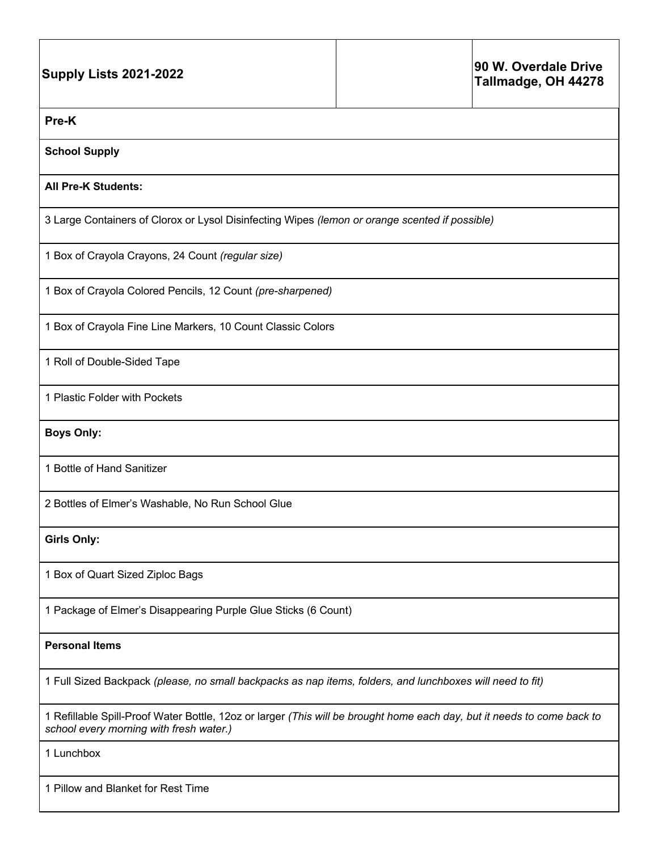| <b>Supply Lists 2021-2022</b>                                                                                                                                      |                                                                                                | 90 W. Overdale Drive<br>Tallmadge, OH 44278 |  |  |  |
|--------------------------------------------------------------------------------------------------------------------------------------------------------------------|------------------------------------------------------------------------------------------------|---------------------------------------------|--|--|--|
| Pre-K                                                                                                                                                              |                                                                                                |                                             |  |  |  |
| <b>School Supply</b>                                                                                                                                               |                                                                                                |                                             |  |  |  |
| <b>All Pre-K Students:</b>                                                                                                                                         |                                                                                                |                                             |  |  |  |
|                                                                                                                                                                    | 3 Large Containers of Clorox or Lysol Disinfecting Wipes (lemon or orange scented if possible) |                                             |  |  |  |
| 1 Box of Crayola Crayons, 24 Count (regular size)                                                                                                                  |                                                                                                |                                             |  |  |  |
| 1 Box of Crayola Colored Pencils, 12 Count (pre-sharpened)                                                                                                         |                                                                                                |                                             |  |  |  |
| 1 Box of Crayola Fine Line Markers, 10 Count Classic Colors                                                                                                        |                                                                                                |                                             |  |  |  |
| 1 Roll of Double-Sided Tape                                                                                                                                        |                                                                                                |                                             |  |  |  |
| 1 Plastic Folder with Pockets                                                                                                                                      |                                                                                                |                                             |  |  |  |
| <b>Boys Only:</b>                                                                                                                                                  |                                                                                                |                                             |  |  |  |
| 1 Bottle of Hand Sanitizer                                                                                                                                         |                                                                                                |                                             |  |  |  |
| 2 Bottles of Elmer's Washable, No Run School Glue                                                                                                                  |                                                                                                |                                             |  |  |  |
| <b>Girls Only:</b>                                                                                                                                                 |                                                                                                |                                             |  |  |  |
| 1 Box of Quart Sized Ziploc Bags                                                                                                                                   |                                                                                                |                                             |  |  |  |
| 1 Package of Elmer's Disappearing Purple Glue Sticks (6 Count)                                                                                                     |                                                                                                |                                             |  |  |  |
| <b>Personal Items</b>                                                                                                                                              |                                                                                                |                                             |  |  |  |
| 1 Full Sized Backpack (please, no small backpacks as nap items, folders, and lunchboxes will need to fit)                                                          |                                                                                                |                                             |  |  |  |
| 1 Refillable Spill-Proof Water Bottle, 12oz or larger (This will be brought home each day, but it needs to come back to<br>school every morning with fresh water.) |                                                                                                |                                             |  |  |  |
| 1 Lunchbox                                                                                                                                                         |                                                                                                |                                             |  |  |  |
| 1 Pillow and Blanket for Rest Time                                                                                                                                 |                                                                                                |                                             |  |  |  |